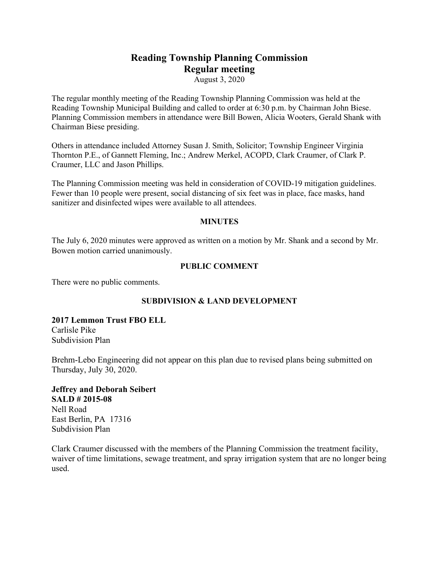# **Reading Township Planning Commission Regular meeting**

August 3, 2020

The regular monthly meeting of the Reading Township Planning Commission was held at the Reading Township Municipal Building and called to order at 6:30 p.m. by Chairman John Biese. Planning Commission members in attendance were Bill Bowen, Alicia Wooters, Gerald Shank with Chairman Biese presiding.

Others in attendance included Attorney Susan J. Smith, Solicitor; Township Engineer Virginia Thornton P.E., of Gannett Fleming, Inc.; Andrew Merkel, ACOPD, Clark Craumer, of Clark P. Craumer, LLC and Jason Phillips.

The Planning Commission meeting was held in consideration of COVID-19 mitigation guidelines. Fewer than 10 people were present, social distancing of six feet was in place, face masks, hand sanitizer and disinfected wipes were available to all attendees.

#### **MINUTES**

The July 6, 2020 minutes were approved as written on a motion by Mr. Shank and a second by Mr. Bowen motion carried unanimously.

#### **PUBLIC COMMENT**

There were no public comments.

## **SUBDIVISION & LAND DEVELOPMENT**

#### **2017 Lemmon Trust FBO ELL** Carlisle Pike Subdivision Plan

Brehm-Lebo Engineering did not appear on this plan due to revised plans being submitted on Thursday, July 30, 2020.

## **Jeffrey and Deborah Seibert SALD # 2015-08** Nell Road East Berlin, PA 17316

Subdivision Plan

Clark Craumer discussed with the members of the Planning Commission the treatment facility, waiver of time limitations, sewage treatment, and spray irrigation system that are no longer being used.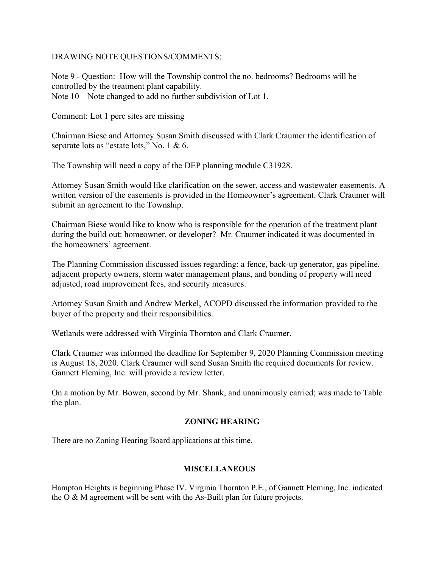## DRAWING NOTE QUESTIONS/COMMENTS:

Note 9 - Question: How will the Township control the no. bedrooms? Bedrooms will be controlled by the treatment plant capability. Note 10 – Note changed to add no further subdivision of Lot 1.

Comment: Lot 1 perc sites are missing

Chairman Biese and Attorney Susan Smith discussed with Clark Craumer the identification of separate lots as "estate lots," No. 1 & 6.

The Township will need a copy of the DEP planning module C31928.

Attorney Susan Smith would like clarification on the sewer, access and wastewater easements. A written version of the easements is provided in the Homeowner's agreement. Clark Craumer will submit an agreement to the Township.

Chairman Biese would like to know who is responsible for the operation of the treatment plant during the build out: homeowner, or developer? Mr. Craumer indicated it was documented in the homeowners' agreement.

The Planning Commission discussed issues regarding: a fence, back-up generator, gas pipeline, adjacent property owners, storm water management plans, and bonding of property will need adjusted, road improvement fees, and security measures.

Attorney Susan Smith and Andrew Merkel, ACOPD discussed the information provided to the buyer of the property and their responsibilities.

Wetlands were addressed with Virginia Thornton and Clark Craumer.

Clark Craumer was informed the deadline for September 9, 2020 Planning Commission meeting is August 18, 2020. Clark Craumer will send Susan Smith the required documents for review. Gannett Fleming, Inc. will provide a review letter.

On a motion by Mr. Bowen, second by Mr. Shank, and unanimously carried; was made to Table the plan.

## **ZONING HEARING**

There are no Zoning Hearing Board applications at this time.

## **MISCELLANEOUS**

Hampton Heights is beginning Phase IV. Virginia Thornton P.E., of Gannett Fleming, Inc. indicated the  $O & M$  agreement will be sent with the As-Built plan for future projects.